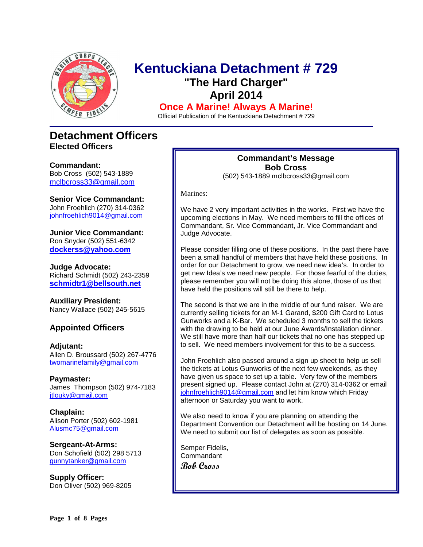

### **Kentuckiana Detachment # 729 "The Hard Charger" April 2014**

**Once A Marine! Always A Marine!**

Official Publication of the Kentuckiana Detachment # 729

### **Detachment Officers Elected Officers**

**Commandant:**  Bob Cross (502) 543-1889 [mclbcross33@gmail.com](mailto:Mclcross33@gmail.com)

**Senior Vice Commandant:** John Froehlich (270) 314-0362 [johnfroehlich9014@gmail.com](https://commcenter.insightbb.com/attach/Desktop/S%20and%20S/Marines/MCL/Newsletters/cwychulis@aol.com)

**Junior Vice Commandant:** Ron Snyder (502) 551-6342 **[dockerss@yahoo.com](mailto:dockerss@yahoo.com)**

**Judge Advocate:** Richard Schmidt (502) 243-2359 **[schmidtr1@bellsouth.net](mailto:schmidtr1@bellsouth.net)**

**Auxiliary President:** Nancy Wallace (502) 245-5615

#### **Appointed Officers**

**Adjutant:** Allen D. Broussard (502) 267-4776 [twomarinefamily@gmail.com](https://commcenter.insightbb.com/attach/2006/broussard.marines@insightbb.com)

**Paymaster:** James Thompson (502) 974-7183 [jtlouky@gmail.com](mailto:jtlouky@gmail.com)

**Chaplain:** Alison Porter (502) 602-1981 [Alusmc75@gmail.com](mailto:Alusmc75@gmail.com)

**Sergeant-At-Arms:** Don Schofield (502) 298 5713 [gunnytanker@gmail.com](mailto:gunnytanker@gmail.com)

**Supply Officer:** Don Oliver (502) 969-8205

#### **Commandant's Message Bob Cross**

(502) 543-1889 mclbcross33@gmail.com

Marines:

We have 2 very important activities in the works. First we have the upcoming elections in May. We need members to fill the offices of Commandant, Sr. Vice Commandant, Jr. Vice Commandant and Judge Advocate.

Please consider filling one of these positions. In the past there have been a small handful of members that have held these positions. In order for our Detachment to grow, we need new idea's. In order to get new Idea's we need new people. For those fearful of the duties, please remember you will not be doing this alone, those of us that have held the positions will still be there to help.

The second is that we are in the middle of our fund raiser. We are currently selling tickets for an M-1 Garand, \$200 Gift Card to Lotus Gunworks and a K-Bar. We scheduled 3 months to sell the tickets with the drawing to be held at our June Awards/Installation dinner. We still have more than half our tickets that no one has stepped up to sell. We need members involvement for this to be a success.

John Froehlich also passed around a sign up sheet to help us sell the tickets at Lotus Gunworks of the next few weekends, as they have given us space to set up a table. Very few of the members present signed up. Please contact John at (270) 314-0362 or email [johnfroehlich9014@gmail.com](mailto:johnfroehlich9014@gmail.com) and let him know which Friday afternoon or Saturday you want to work.

We also need to know if you are planning on attending the Department Convention our Detachment will be hosting on 14 June. We need to submit our list of delegates as soon as possible.

Semper Fidelis, Commandant **Bob Cross**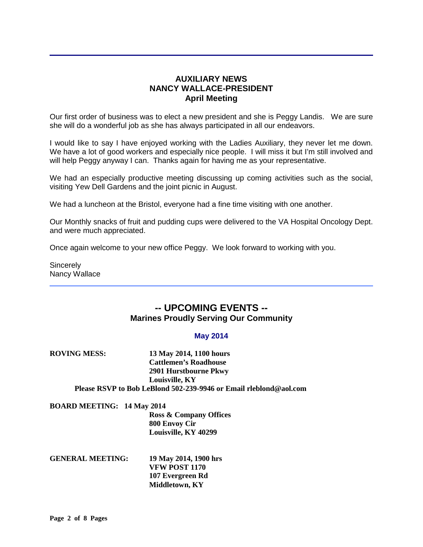#### **AUXILIARY NEWS NANCY WALLACE-PRESIDENT April Meeting**

Our first order of business was to elect a new president and she is Peggy Landis. We are sure she will do a wonderful job as she has always participated in all our endeavors.

I would like to say I have enjoyed working with the Ladies Auxiliary, they never let me down. We have a lot of good workers and especially nice people. I will miss it but I'm still involved and will help Peggy anyway I can. Thanks again for having me as your representative.

We had an especially productive meeting discussing up coming activities such as the social, visiting Yew Dell Gardens and the joint picnic in August.

We had a luncheon at the Bristol, everyone had a fine time visiting with one another.

Our Monthly snacks of fruit and pudding cups were delivered to the VA Hospital Oncology Dept. and were much appreciated.

Once again welcome to your new office Peggy. We look forward to working with you.

**Sincerely** Nancy Wallace

#### **-- UPCOMING EVENTS -- Marines Proudly Serving Our Community**

#### **May 2014**

| <b>ROVING MESS:</b>               | 13 May 2014, 1100 hours                                           |
|-----------------------------------|-------------------------------------------------------------------|
|                                   | <b>Cattlemen's Roadhouse</b>                                      |
|                                   | 2901 Hurstbourne Pkwy                                             |
|                                   | Louisville, KY                                                    |
|                                   | Please RSVP to Bob LeBlond 502-239-9946 or Email rleblond@aol.com |
| <b>BOARD MEETING: 14 May 2014</b> |                                                                   |
|                                   | <b>Ross &amp; Company Offices</b>                                 |
|                                   | 800 Envoy Cir                                                     |
|                                   | Louisville, KY 40299                                              |

**GENERAL MEETING: 19 May 2014, 1900 hrs VFW POST 1170 107 Evergreen Rd Middletown, KY**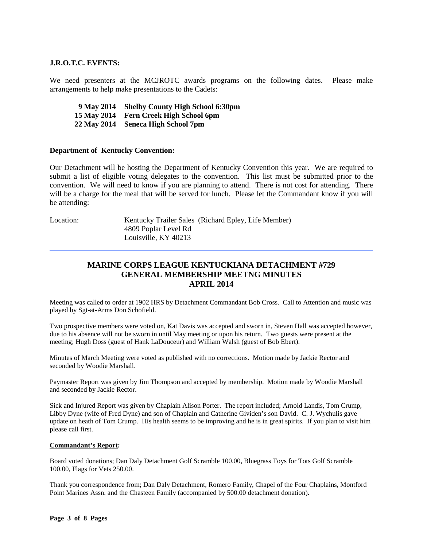#### **J.R.O.T.C. EVENTS:**

We need presenters at the MCJROTC awards programs on the following dates. Please make arrangements to help make presentations to the Cadets:

 **9 May 2014 Shelby County High School 6:30pm 15 May 2014 Fern Creek High School 6pm 22 May 2014 Seneca High School 7pm**

#### **Department of Kentucky Convention:**

Our Detachment will be hosting the Department of Kentucky Convention this year. We are required to submit a list of eligible voting delegates to the convention. This list must be submitted prior to the convention. We will need to know if you are planning to attend. There is not cost for attending. There will be a charge for the meal that will be served for lunch. Please let the Commandant know if you will be attending:

Location: Kentucky Trailer Sales (Richard Epley, Life Member) 4809 Poplar Level Rd Louisville, KY 40213

#### **MARINE CORPS LEAGUE KENTUCKIANA DETACHMENT #729 GENERAL MEMBERSHIP MEETNG MINUTES APRIL 2014**

Meeting was called to order at 1902 HRS by Detachment Commandant Bob Cross. Call to Attention and music was played by Sgt-at-Arms Don Schofield.

Two prospective members were voted on, Kat Davis was accepted and sworn in, Steven Hall was accepted however, due to his absence will not be sworn in until May meeting or upon his return. Two guests were present at the meeting; Hugh Doss (guest of Hank LaDouceur) and William Walsh (guest of Bob Ebert).

Minutes of March Meeting were voted as published with no corrections. Motion made by Jackie Rector and seconded by Woodie Marshall.

Paymaster Report was given by Jim Thompson and accepted by membership. Motion made by Woodie Marshall and seconded by Jackie Rector.

Sick and Injured Report was given by Chaplain Alison Porter. The report included; Arnold Landis, Tom Crump, Libby Dyne (wife of Fred Dyne) and son of Chaplain and Catherine Gividen's son David. C. J. Wychulis gave update on heath of Tom Crump. His health seems to be improving and he is in great spirits. If you plan to visit him please call first.

#### **Commandant's Report:**

Board voted donations; Dan Daly Detachment Golf Scramble 100.00, Bluegrass Toys for Tots Golf Scramble 100.00, Flags for Vets 250.00.

Thank you correspondence from; Dan Daly Detachment, Romero Family, Chapel of the Four Chaplains, Montford Point Marines Assn. and the Chasteen Family (accompanied by 500.00 detachment donation).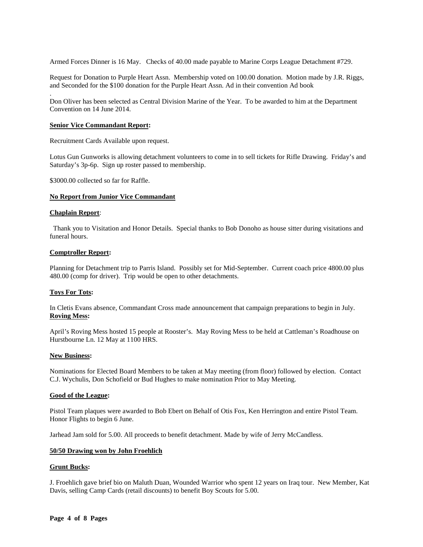Armed Forces Dinner is 16 May. Checks of 40.00 made payable to Marine Corps League Detachment #729.

Request for Donation to Purple Heart Assn. Membership voted on 100.00 donation. Motion made by J.R. Riggs, and Seconded for the \$100 donation for the Purple Heart Assn. Ad in their convention Ad book

Don Oliver has been selected as Central Division Marine of the Year. To be awarded to him at the Department Convention on 14 June 2014.

#### **Senior Vice Commandant Report:**

Recruitment Cards Available upon request.

Lotus Gun Gunworks is allowing detachment volunteers to come in to sell tickets for Rifle Drawing. Friday's and Saturday's 3p-6p. Sign up roster passed to membership.

\$3000.00 collected so far for Raffle.

#### **No Report from Junior Vice Commandant**

#### **Chaplain Report**:

.

 Thank you to Visitation and Honor Details. Special thanks to Bob Donoho as house sitter during visitations and funeral hours.

#### **Comptroller Report:**

Planning for Detachment trip to Parris Island. Possibly set for Mid-September. Current coach price 4800.00 plus 480.00 (comp for driver). Trip would be open to other detachments.

#### **Toys For Tots:**

In Cletis Evans absence, Commandant Cross made announcement that campaign preparations to begin in July. **Roving Mess:** 

April's Roving Mess hosted 15 people at Rooster's. May Roving Mess to be held at Cattleman's Roadhouse on Hurstbourne Ln. 12 May at 1100 HRS.

#### **New Business:**

Nominations for Elected Board Members to be taken at May meeting (from floor) followed by election. Contact C.J. Wychulis, Don Schofield or Bud Hughes to make nomination Prior to May Meeting.

#### **Good of the League:**

Pistol Team plaques were awarded to Bob Ebert on Behalf of Otis Fox, Ken Herrington and entire Pistol Team. Honor Flights to begin 6 June.

Jarhead Jam sold for 5.00. All proceeds to benefit detachment. Made by wife of Jerry McCandless.

#### **50/50 Drawing won by John Froehlich**

#### **Grunt Bucks:**

J. Froehlich gave brief bio on Maluth Duan, Wounded Warrior who spent 12 years on Iraq tour. New Member, Kat Davis, selling Camp Cards (retail discounts) to benefit Boy Scouts for 5.00.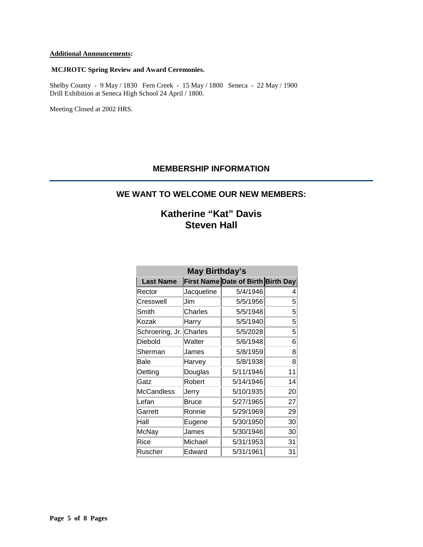#### **Additional Announcements:**

#### **MCJROTC Spring Review and Award Ceremonies.**

Shelby County - 9 May / 1830 Fern Creek - 15 May / 1800 Seneca - 22 May / 1900 Drill Exhibition at Seneca High School 24 April / 1800.

Meeting Closed at 2002 HRS.

#### **MEMBERSHIP INFORMATION**

#### **WE WANT TO WELCOME OUR NEW MEMBERS:**

### **Katherine "Kat" Davis Steven Hall**

| <b>May Birthday's</b>   |            |                                    |    |  |
|-------------------------|------------|------------------------------------|----|--|
| <b>Last Name</b>        |            | First Name Date of Birth Birth Day |    |  |
| Rector                  | Jacqueline | 5/4/1946                           | 4  |  |
| Cresswell               | Jim        | 5/5/1956                           | 5  |  |
| Smith                   | Charles    | 5/5/1948                           | 5  |  |
| Kozak                   | Harry      | 5/5/1940                           | 5  |  |
| Schroering, Jr. Charles |            | 5/5/2028                           | 5  |  |
| Diebold                 | Walter     | 5/6/1948                           | 6  |  |
| Sherman                 | James      | 5/8/1959                           | 8  |  |
| Bale                    | Harvey     | 5/8/1938                           | 8  |  |
| Oetting                 | Douglas    | 5/11/1946                          | 11 |  |
| Gatz                    | Robert     | 5/14/1946                          | 14 |  |
| <b>McCandless</b>       | Jerry      | 5/10/1935                          | 20 |  |
| Lefan                   | Bruce      | 5/27/1965                          | 27 |  |
| Garrett                 | Ronnie     | 5/29/1969                          | 29 |  |
| Hall                    | Eugene     | 5/30/1950                          | 30 |  |
| McNay                   | James      | 5/30/1946                          | 30 |  |
| Rice                    | Michael    | 5/31/1953                          | 31 |  |
| Ruscher                 | Edward     | 5/31/1961                          | 31 |  |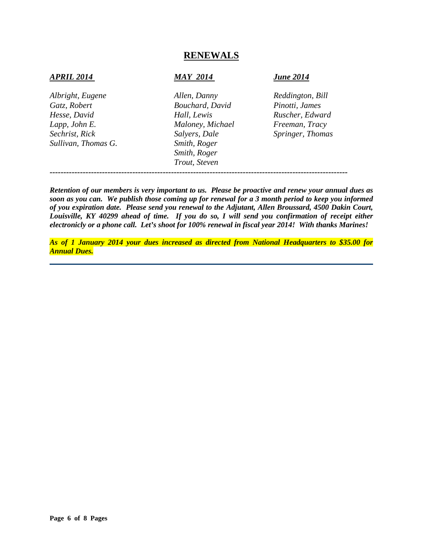#### **RENEWALS**

#### *APRIL 2014 MAY 2014 June 2014*

*Albright, Eugene Allen, Danny Reddington, Bill Gatz, Robert Bouchard, David Pinotti, James Hesse, David Hall, Lewis Ruscher, Edward Lapp, John E. Maloney, Michael Freeman, Tracy Sechrist, Rick Salyers, Dale Springer, Thomas Sullivan, Thomas G. Smith, Roger*

*Smith, Roger Trout, Steven*

*------------------------------------------------------------------------------------------------------------*

*Retention of our members is very important to us. Please be proactive and renew your annual dues as soon as you can. We publish those coming up for renewal for a 3 month period to keep you informed of you expiration date. Please send you renewal to the Adjutant, Allen Broussard, 4500 Dakin Court, Louisville, KY 40299 ahead of time. If you do so, I will send you confirmation of receipt either electronicly or a phone call. Let's shoot for 100% renewal in fiscal year 2014! With thanks Marines!*

*As of 1 January 2014 your dues increased as directed from National Headquarters to \$35.00 for Annual Dues.*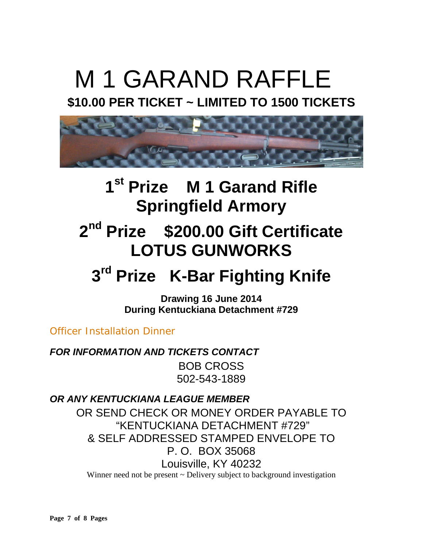# M 1 GARAND RAFFLE

### **\$10.00 PER TICKET ~ LIMITED TO 1500 TICKETS**



### **1st Prize M 1 Garand Rifle Springfield Armory**

## **2nd Prize \$200.00 Gift Certificate LOTUS GUNWORKS**

## **3rd Prize K-Bar Fighting Knife**

**Drawing 16 June 2014 During Kentuckiana Detachment #729** 

Officer Installation Dinner

*FOR INFORMATION AND TICKETS CONTACT* BOB CROSS 502-543-1889

*OR ANY KENTUCKIANA LEAGUE MEMBER*

OR SEND CHECK OR MONEY ORDER PAYABLE TO "KENTUCKIANA DETACHMENT #729" & SELF ADDRESSED STAMPED ENVELOPE TO P. O. BOX 35068 Louisville, KY 40232

Winner need not be present  $\sim$  Delivery subject to background investigation